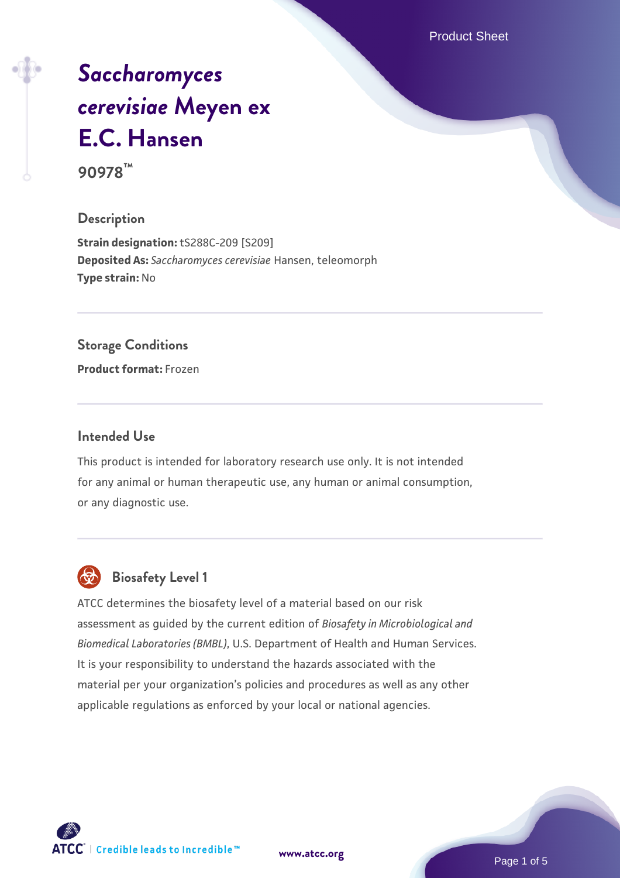Product Sheet

# *[Saccharomyces](https://www.atcc.org/products/90978) [cerevisiae](https://www.atcc.org/products/90978)* **[Meyen ex](https://www.atcc.org/products/90978) [E.C. Hansen](https://www.atcc.org/products/90978)**

**90978™**

### **Description**

**Strain designation:** tS288C-209 [S209] **Deposited As:** *Saccharomyces cerevisiae* Hansen, teleomorph **Type strain:** No

### **Storage Conditions**

**Product format:** Frozen

# **Intended Use**

This product is intended for laboratory research use only. It is not intended for any animal or human therapeutic use, any human or animal consumption, or any diagnostic use.



# **Biosafety Level 1**

ATCC determines the biosafety level of a material based on our risk assessment as guided by the current edition of *Biosafety in Microbiological and Biomedical Laboratories (BMBL)*, U.S. Department of Health and Human Services. It is your responsibility to understand the hazards associated with the material per your organization's policies and procedures as well as any other applicable regulations as enforced by your local or national agencies.

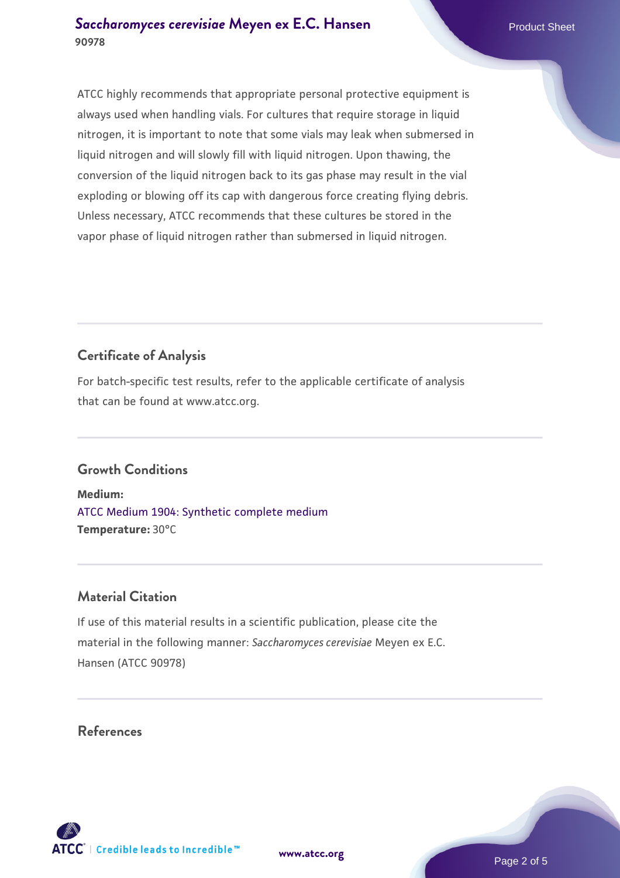ATCC highly recommends that appropriate personal protective equipment is always used when handling vials. For cultures that require storage in liquid nitrogen, it is important to note that some vials may leak when submersed in liquid nitrogen and will slowly fill with liquid nitrogen. Upon thawing, the conversion of the liquid nitrogen back to its gas phase may result in the vial exploding or blowing off its cap with dangerous force creating flying debris. Unless necessary, ATCC recommends that these cultures be stored in the vapor phase of liquid nitrogen rather than submersed in liquid nitrogen.

# **Certificate of Analysis**

For batch-specific test results, refer to the applicable certificate of analysis that can be found at www.atcc.org.

# **Growth Conditions**

**Medium:**  [ATCC Medium 1904: Synthetic complete medium](https://www.atcc.org/-/media/product-assets/documents/microbial-media-formulations/atcc-medium-1904.pdf?rev=0e0b7f15245044839a89ba7db6e9650a) **Temperature:** 30°C

# **Material Citation**

If use of this material results in a scientific publication, please cite the material in the following manner: *Saccharomyces cerevisiae* Meyen ex E.C. Hansen (ATCC 90978)

# **References**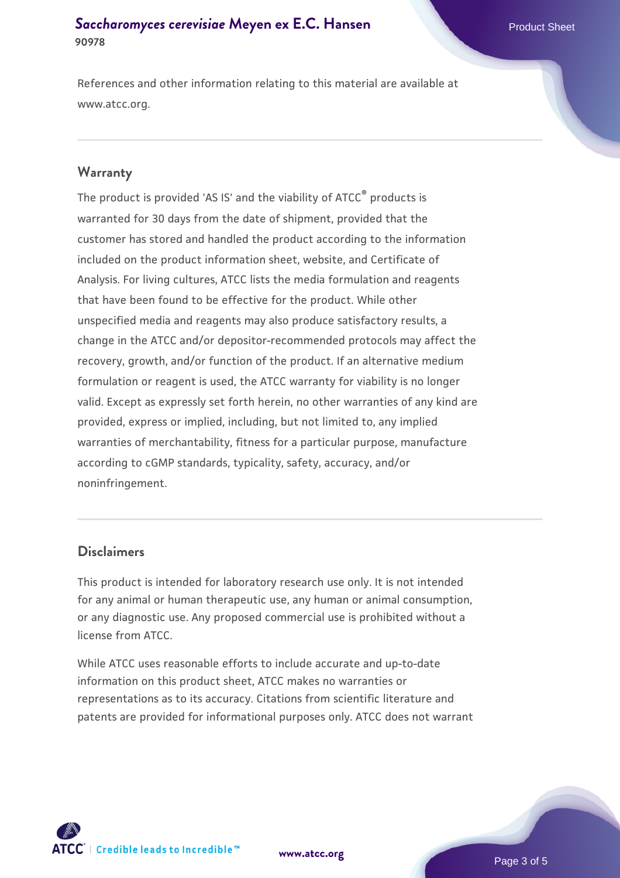# **[Saccharomyces cerevisiae](https://www.atcc.org/products/90978)** [Meyen ex E.C. Hansen](https://www.atcc.org/products/90978) **90978**

References and other information relating to this material are available at www.atcc.org.

### **Warranty**

The product is provided 'AS IS' and the viability of ATCC® products is warranted for 30 days from the date of shipment, provided that the customer has stored and handled the product according to the information included on the product information sheet, website, and Certificate of Analysis. For living cultures, ATCC lists the media formulation and reagents that have been found to be effective for the product. While other unspecified media and reagents may also produce satisfactory results, a change in the ATCC and/or depositor-recommended protocols may affect the recovery, growth, and/or function of the product. If an alternative medium formulation or reagent is used, the ATCC warranty for viability is no longer valid. Except as expressly set forth herein, no other warranties of any kind are provided, express or implied, including, but not limited to, any implied warranties of merchantability, fitness for a particular purpose, manufacture according to cGMP standards, typicality, safety, accuracy, and/or noninfringement.

# **Disclaimers**

This product is intended for laboratory research use only. It is not intended for any animal or human therapeutic use, any human or animal consumption, or any diagnostic use. Any proposed commercial use is prohibited without a license from ATCC.

While ATCC uses reasonable efforts to include accurate and up-to-date information on this product sheet, ATCC makes no warranties or representations as to its accuracy. Citations from scientific literature and patents are provided for informational purposes only. ATCC does not warrant



**[www.atcc.org](http://www.atcc.org)**

Page 3 of 5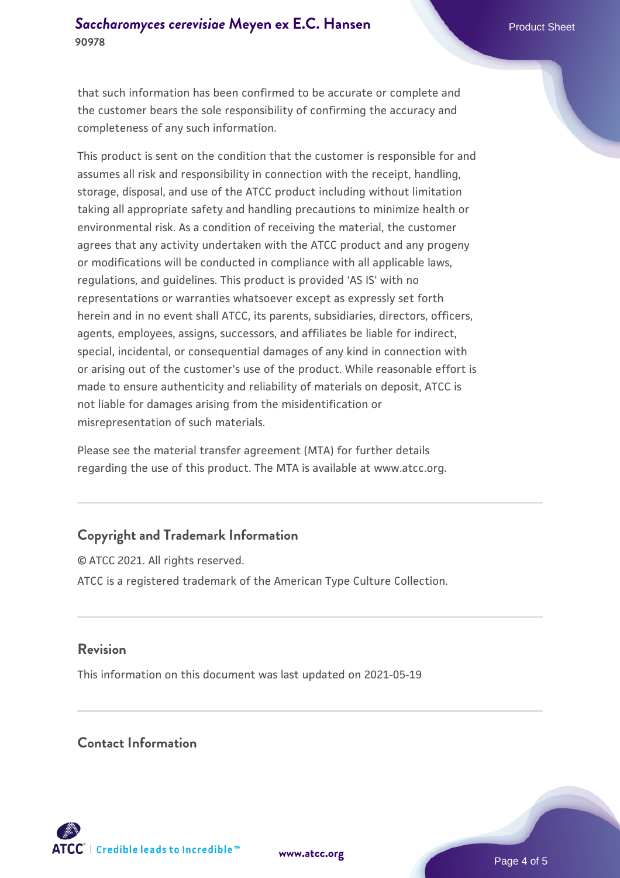that such information has been confirmed to be accurate or complete and the customer bears the sole responsibility of confirming the accuracy and completeness of any such information.

This product is sent on the condition that the customer is responsible for and assumes all risk and responsibility in connection with the receipt, handling, storage, disposal, and use of the ATCC product including without limitation taking all appropriate safety and handling precautions to minimize health or environmental risk. As a condition of receiving the material, the customer agrees that any activity undertaken with the ATCC product and any progeny or modifications will be conducted in compliance with all applicable laws, regulations, and guidelines. This product is provided 'AS IS' with no representations or warranties whatsoever except as expressly set forth herein and in no event shall ATCC, its parents, subsidiaries, directors, officers, agents, employees, assigns, successors, and affiliates be liable for indirect, special, incidental, or consequential damages of any kind in connection with or arising out of the customer's use of the product. While reasonable effort is made to ensure authenticity and reliability of materials on deposit, ATCC is not liable for damages arising from the misidentification or misrepresentation of such materials.

Please see the material transfer agreement (MTA) for further details regarding the use of this product. The MTA is available at www.atcc.org.

# **Copyright and Trademark Information**

© ATCC 2021. All rights reserved. ATCC is a registered trademark of the American Type Culture Collection.

# **Revision**

This information on this document was last updated on 2021-05-19

# **Contact Information**



**[www.atcc.org](http://www.atcc.org)**

Page 4 of 5